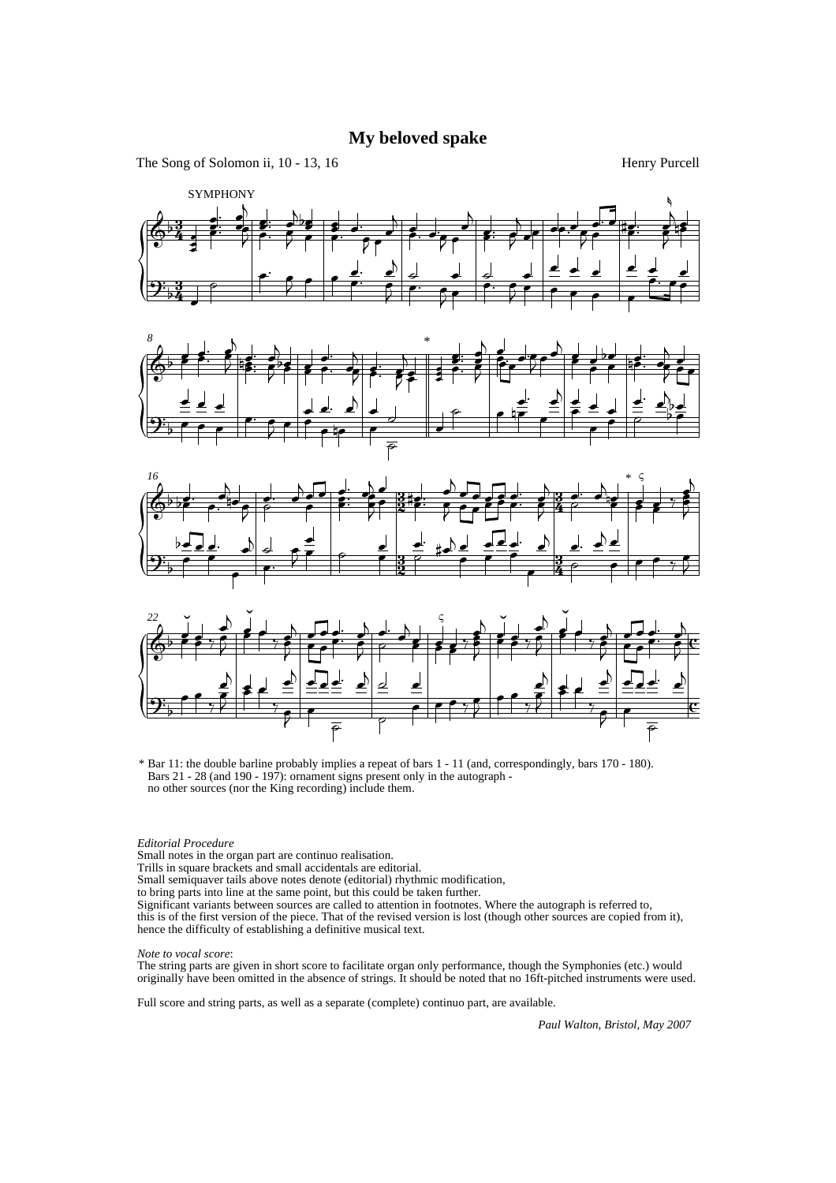## **My beloved spake**

The Song of Solomon ii, 10 - 13, 16

Henry Purcell









<sup>\*</sup> Bar 11: the double barline probably implies a repeat of bars 1 - 11 (and, correspondingly, bars 170 - 180). Bars 21 - 28 (and 190 - 197): ornament signs present only in the autograph no other sources (nor the King recording) include them.

## *Editorial Procedure*

Small notes in the organ part are continuo realisation.

Trills in square brackets and small accidentals are editorial.

Small semiquaver tails above notes denote (editorial) rhythmic modification,

to bring parts into line at the same point, but this could be taken further.

Significant variants between sources are called to attention in footnotes. Where the autograph is referred to, this is of the first version of the piece. That of the revised version is lost (though other sources are copied from it), hence the difficulty of establishing a definitive musical text.

## *Note to vocal score*:

The string parts are given in short score to facilitate organ only performance, though the Symphonies (etc.) would originally have been omitted in the absence of strings. It should be noted that no 16ft-pitched instruments were used.

Full score and string parts, as well as a separate (complete) continuo part, are available.

*Paul Walton, Bristol, May 2007*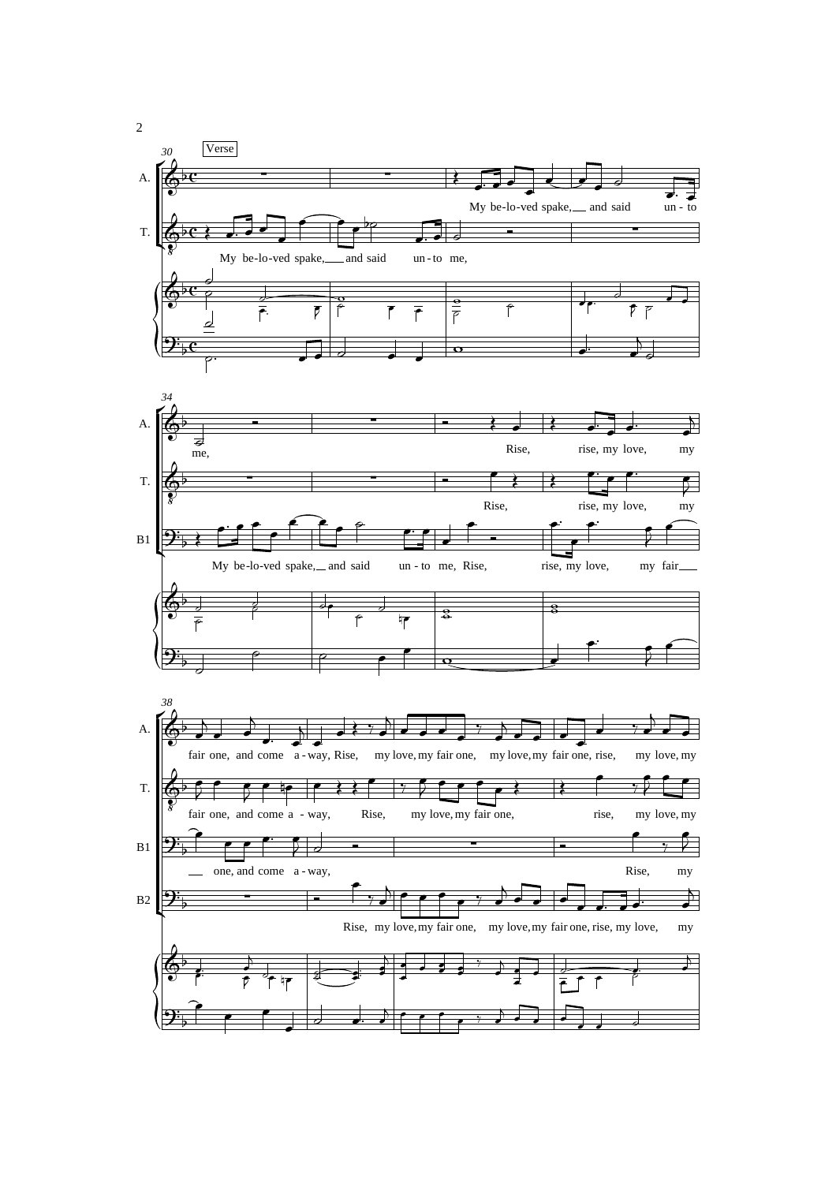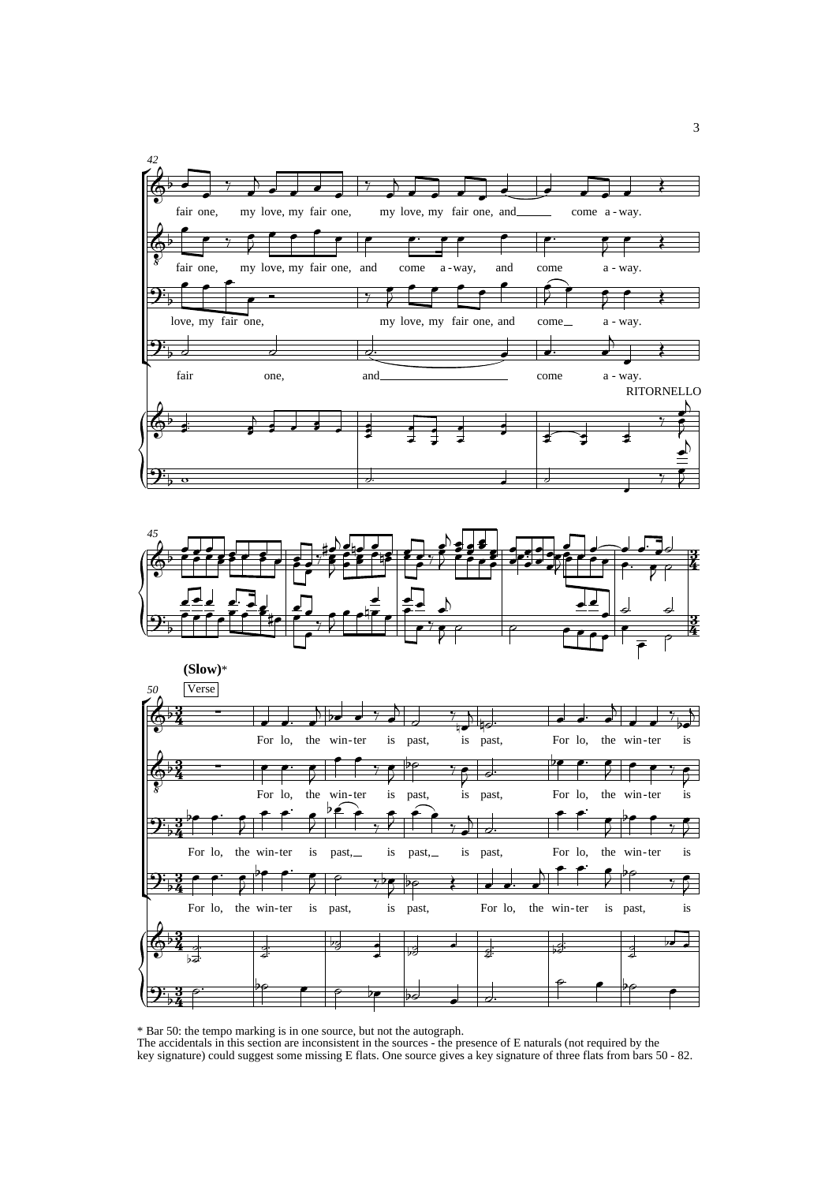





<sup>\*</sup> Bar 50: the tempo marking is in one source, but not the autograph.

The accidentals in this section are inconsistent in the sources - the presence of E naturals (not required by the key signature) could suggest some missing E flats. One source gives a key signature of three flats from bars 50 - 82.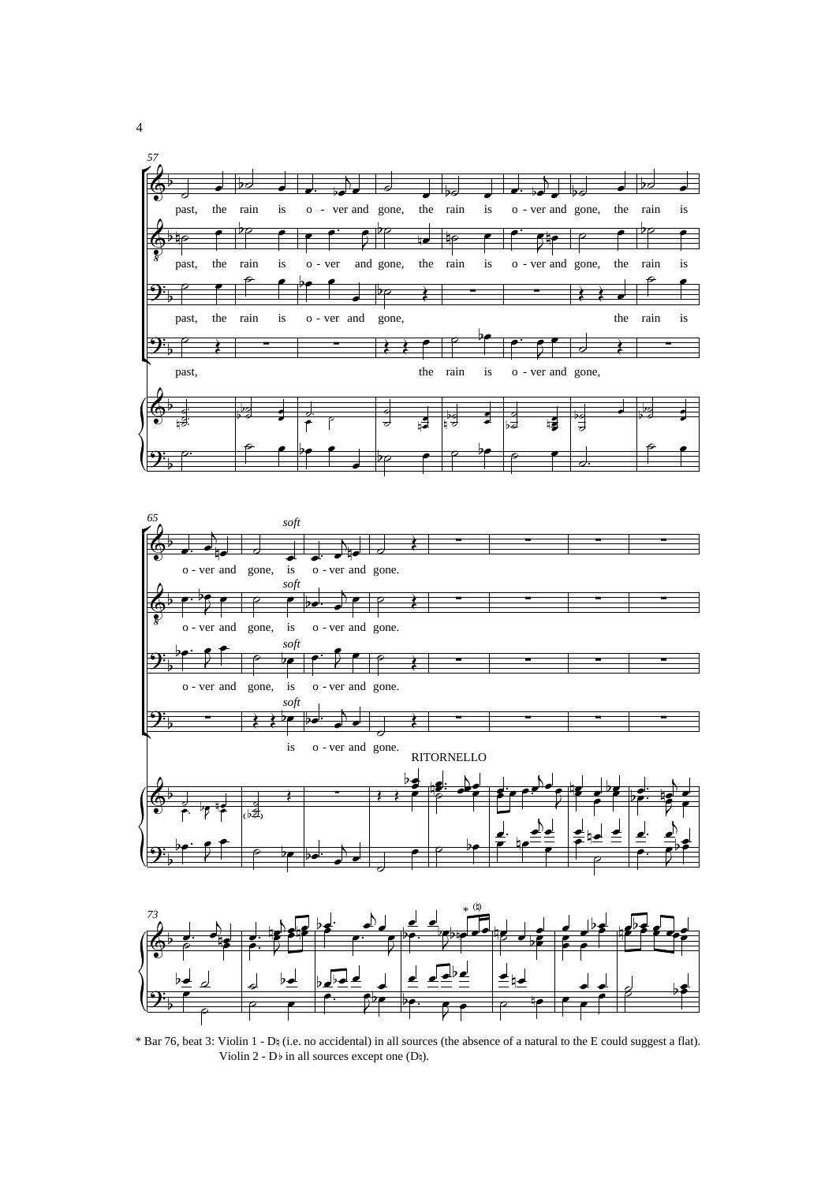



\* Bar 76, beat 3: Violin 1 - D§ (i.e. no accidental) in all sources (the absence of a natural to the E could suggest a flat). Violin 2 -  $D\flat$  in all sources except one (D $\natural$ ).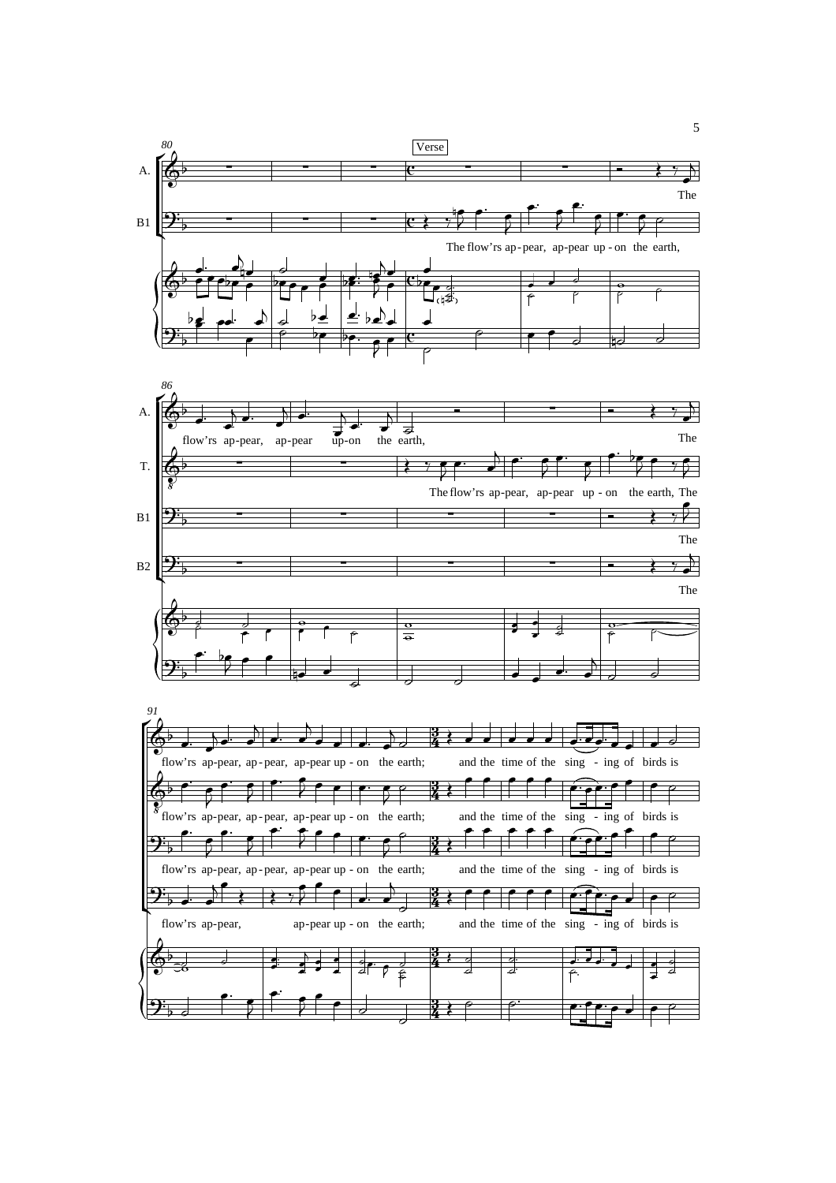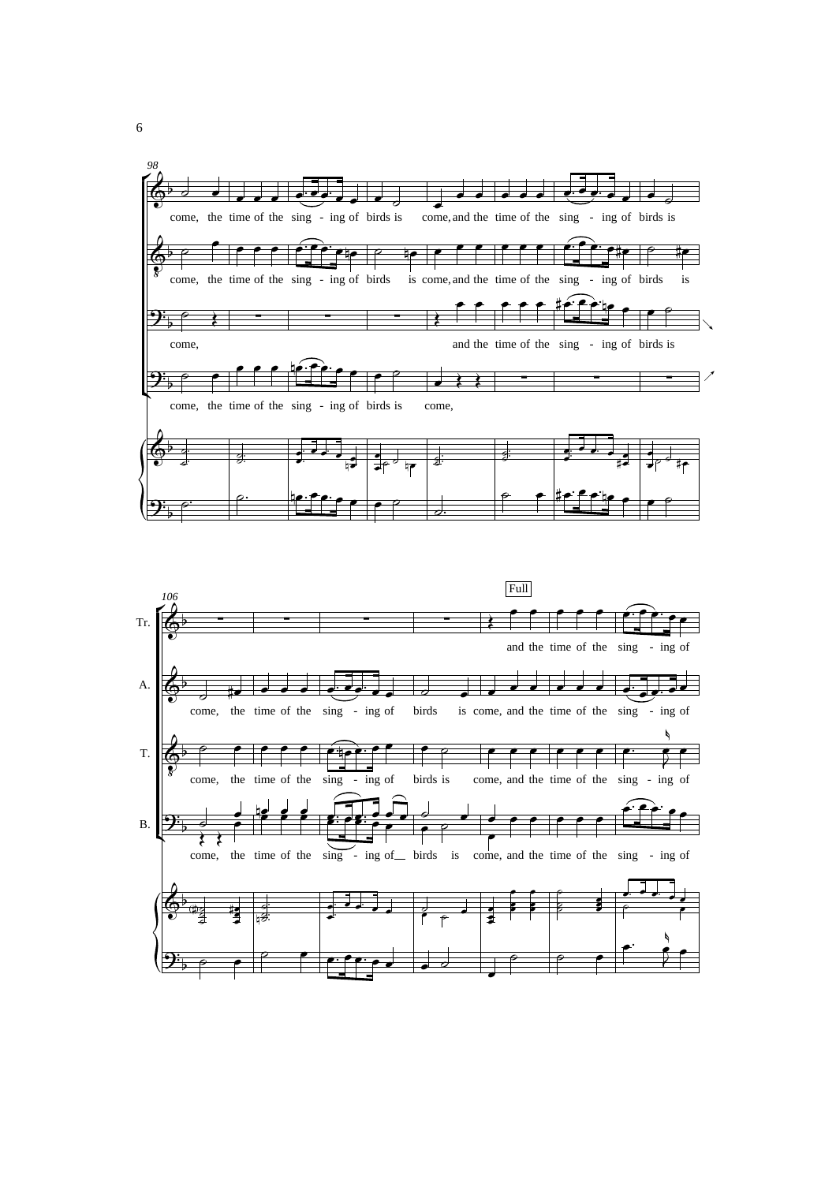

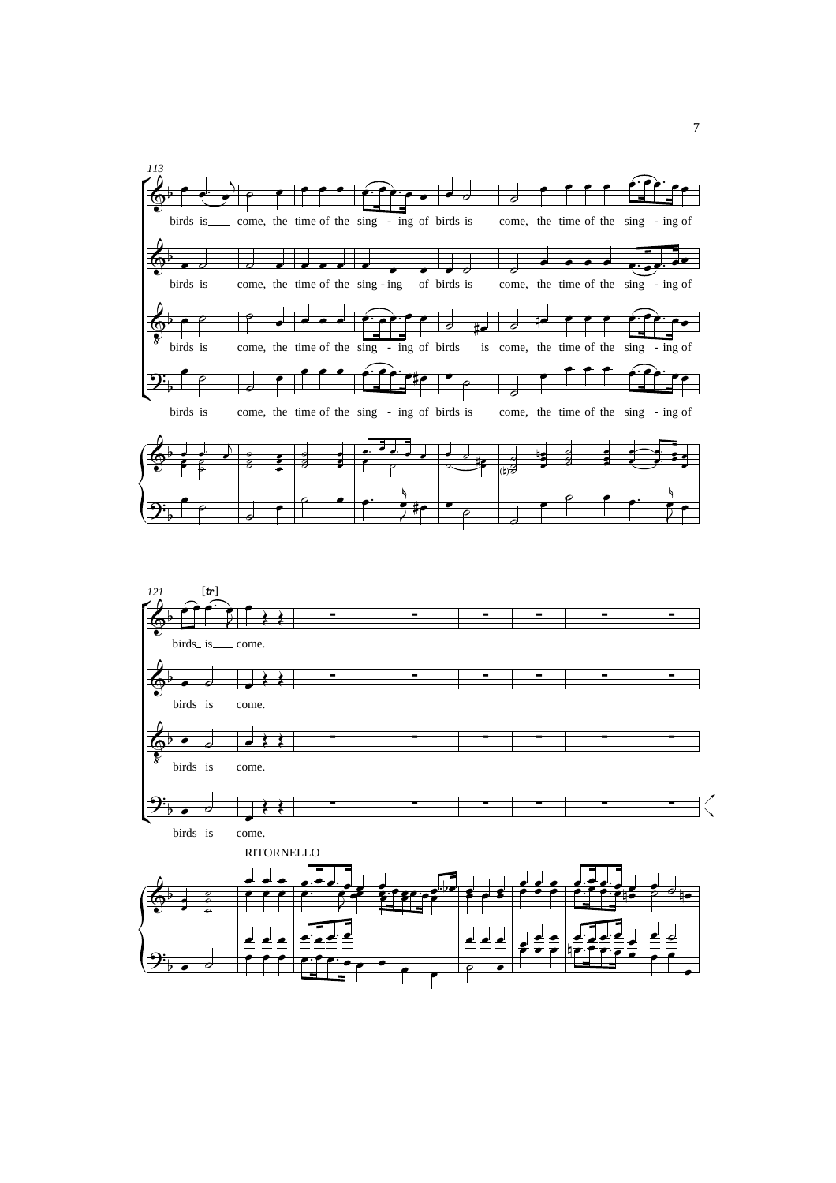

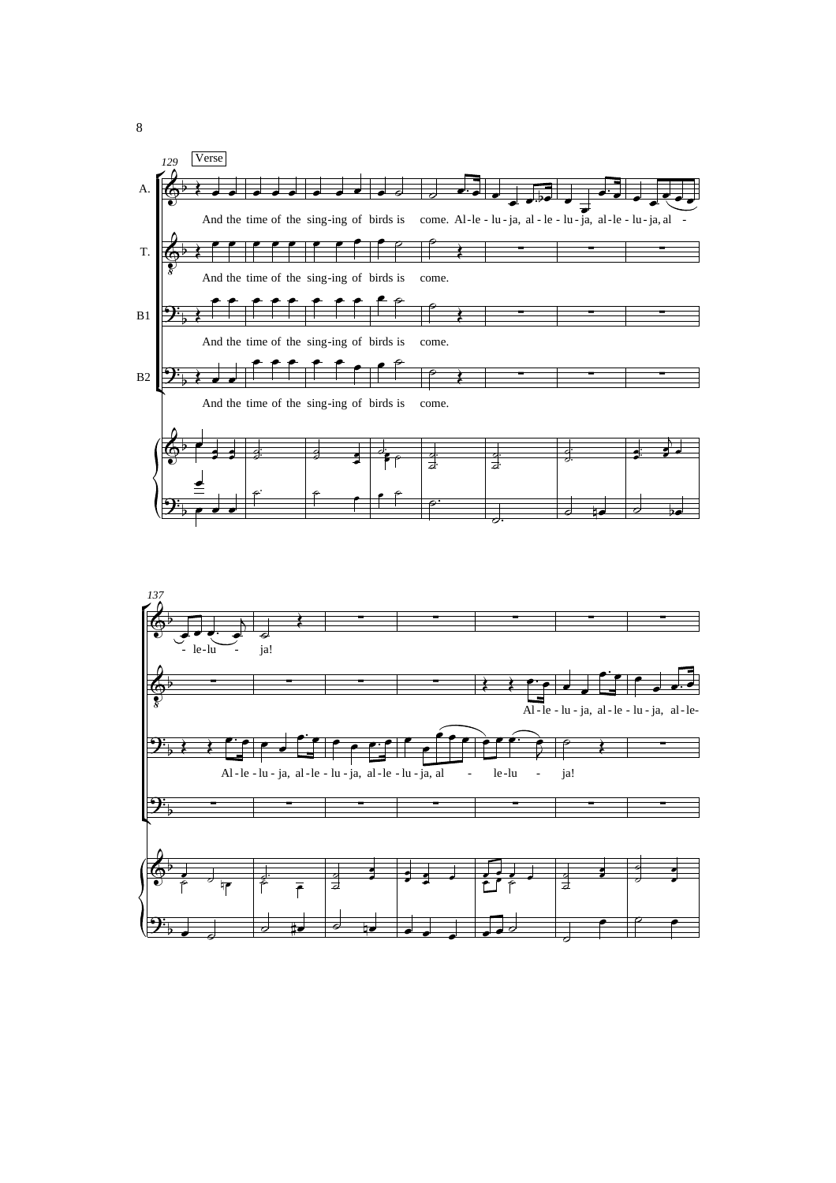

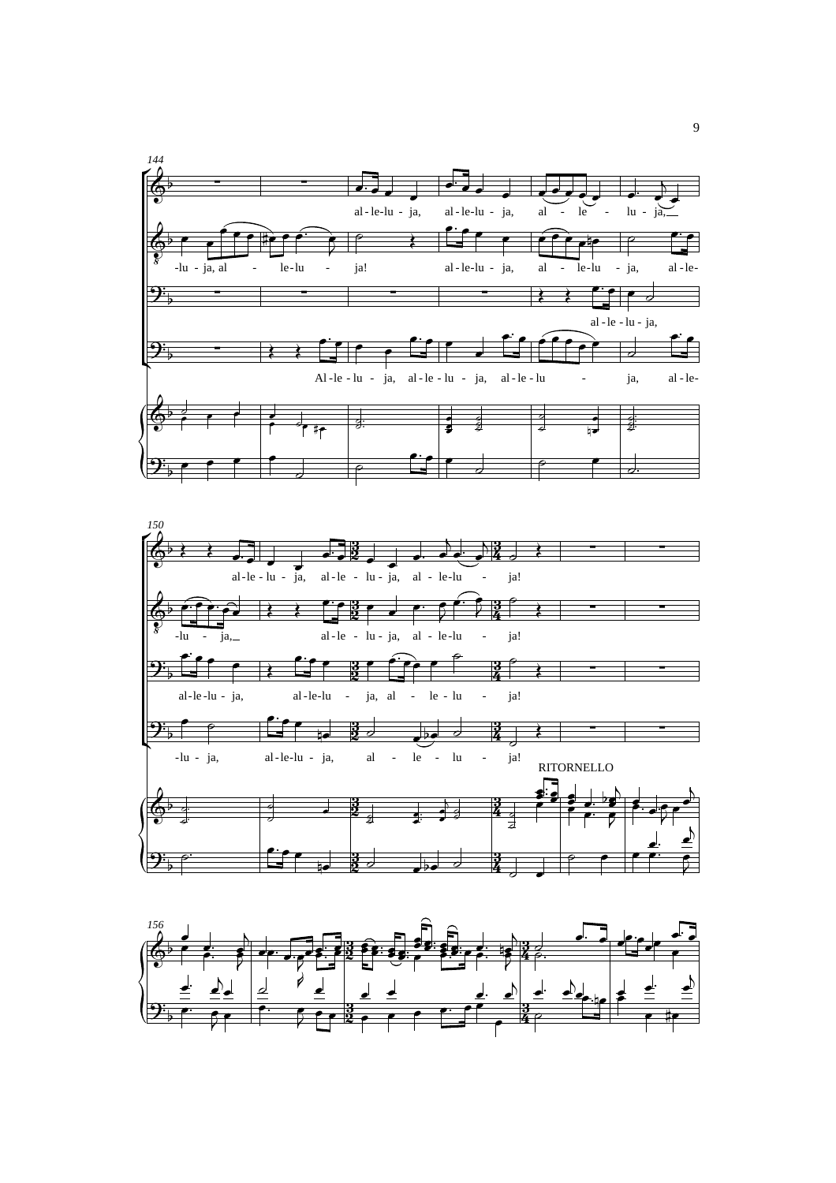



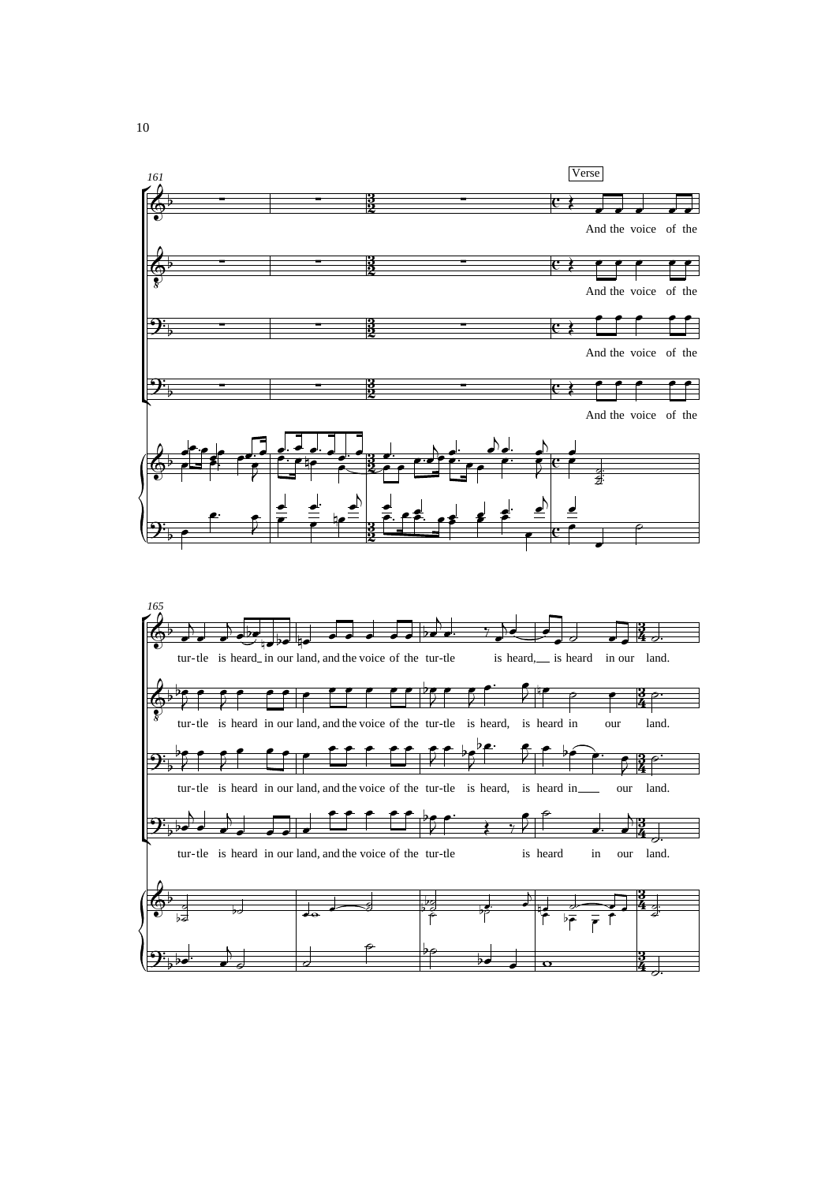

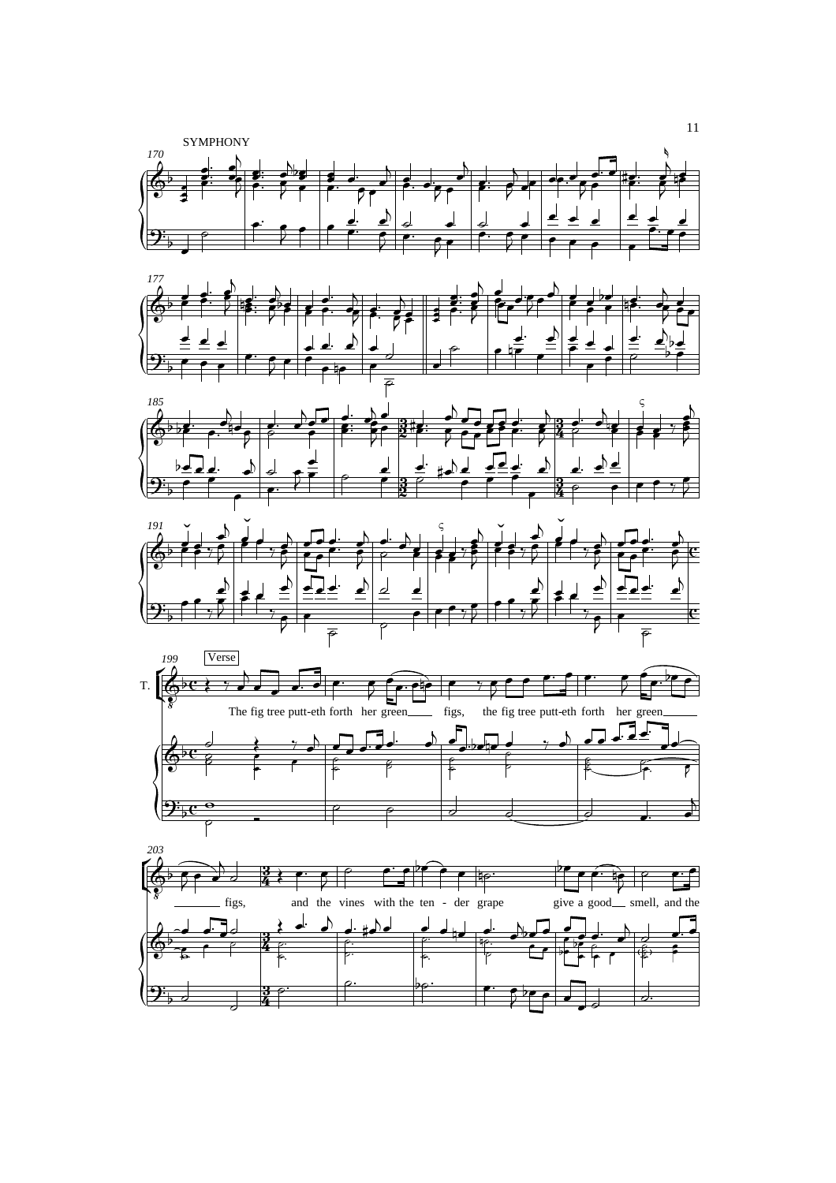

 $9\frac{1}{2}$  and  $\frac{1}{2}$  and  $\frac{1}{2}$  and  $\frac{1}{2}$  and  $\frac{1}{2}$  and  $\frac{1}{2}$  and  $\frac{1}{2}$  and  $\frac{1}{2}$  and  $\frac{1}{2}$  and  $\frac{1}{2}$  and  $\frac{1}{2}$  and  $\frac{1}{2}$  and  $\frac{1}{2}$  and  $\frac{1}{2}$  and  $\frac{1}{2}$  and  $\frac{1}{2}$ 

<u>z</u>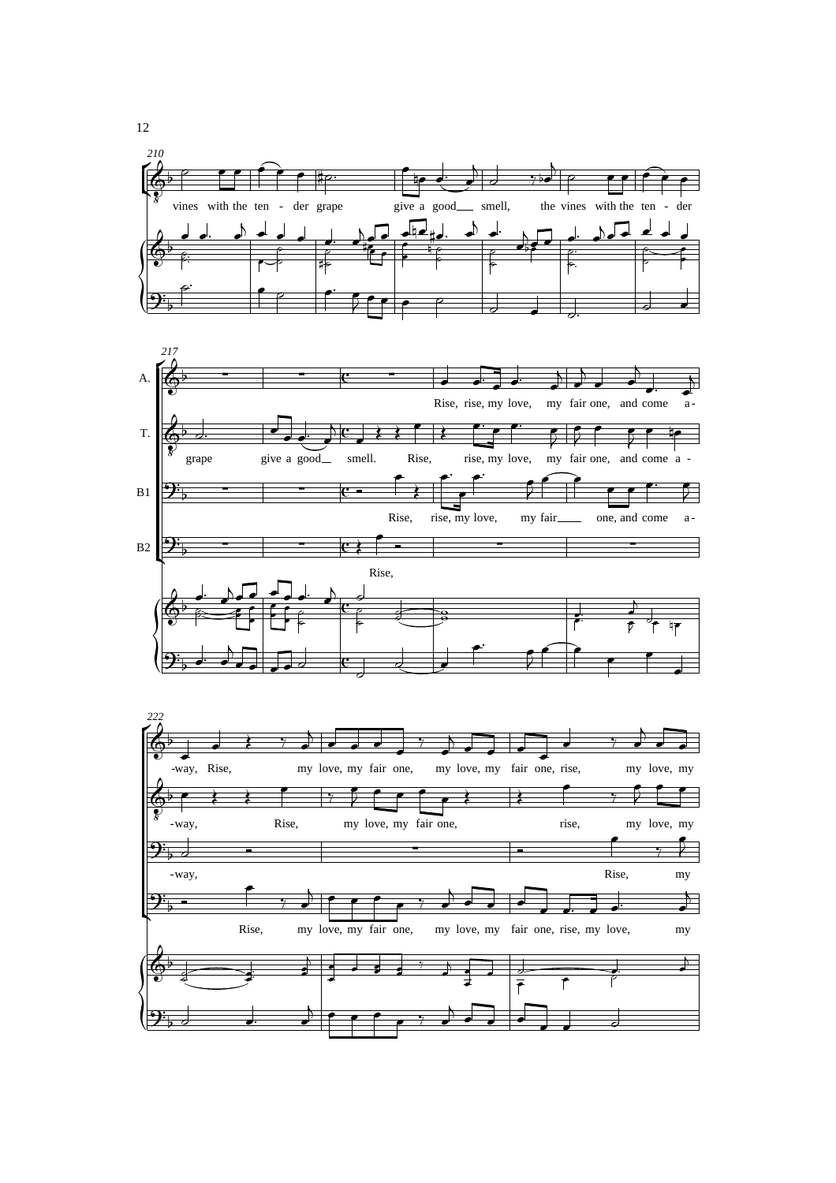



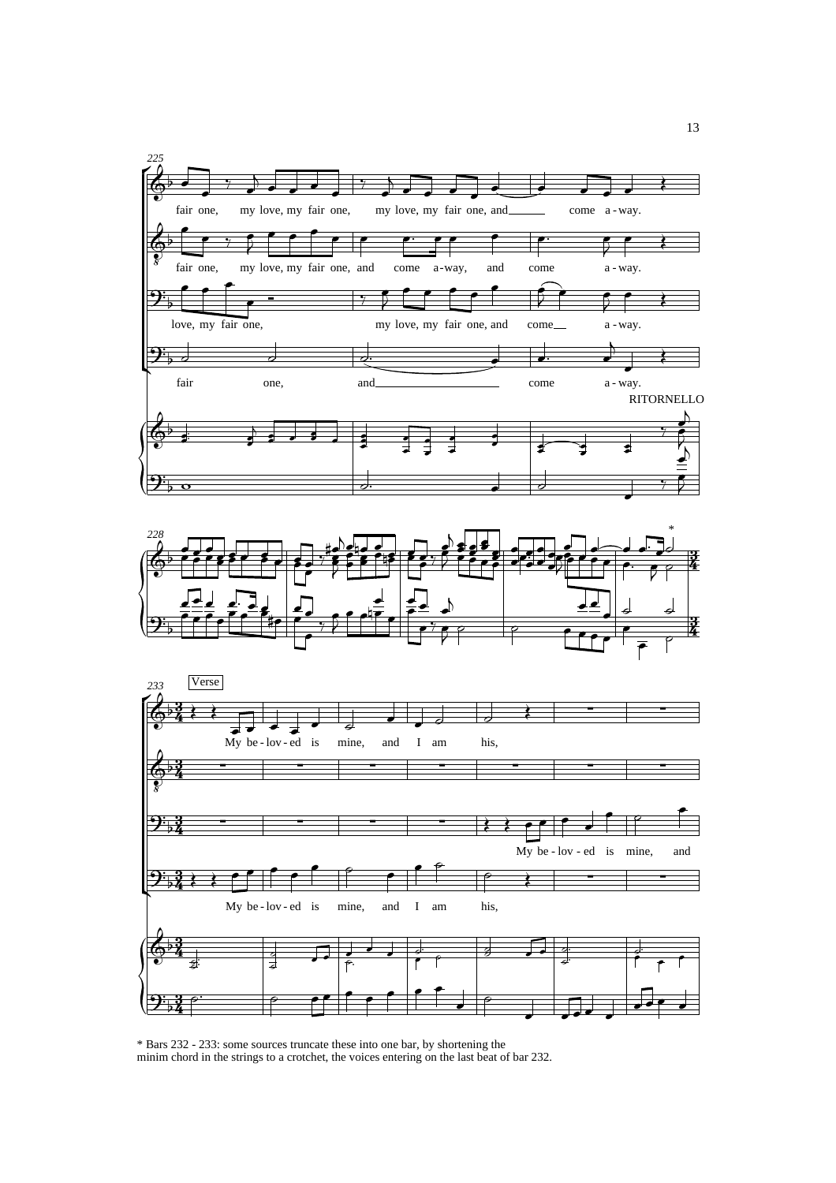





\* Bars 232 - 233: some sources truncate these into one bar, by shortening the minim chord in the strings to a crotchet, the voices entering on the last beat of bar 232.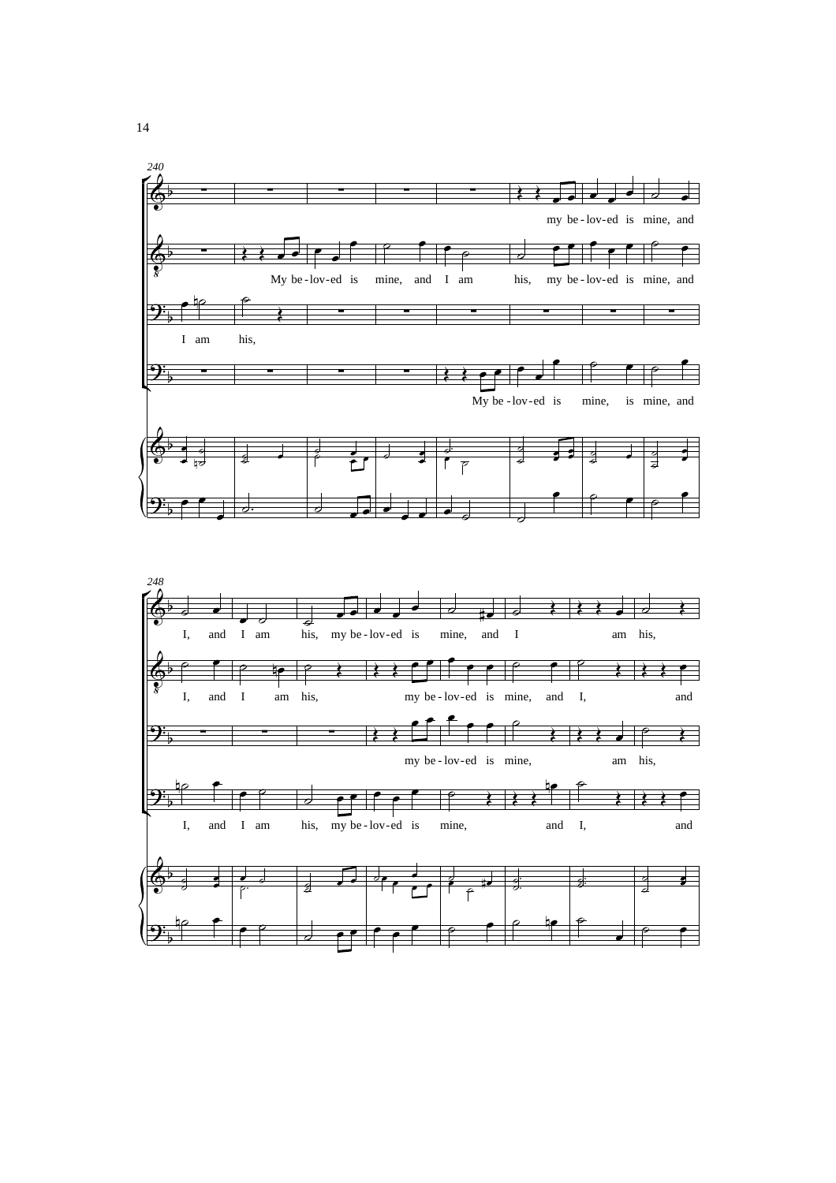

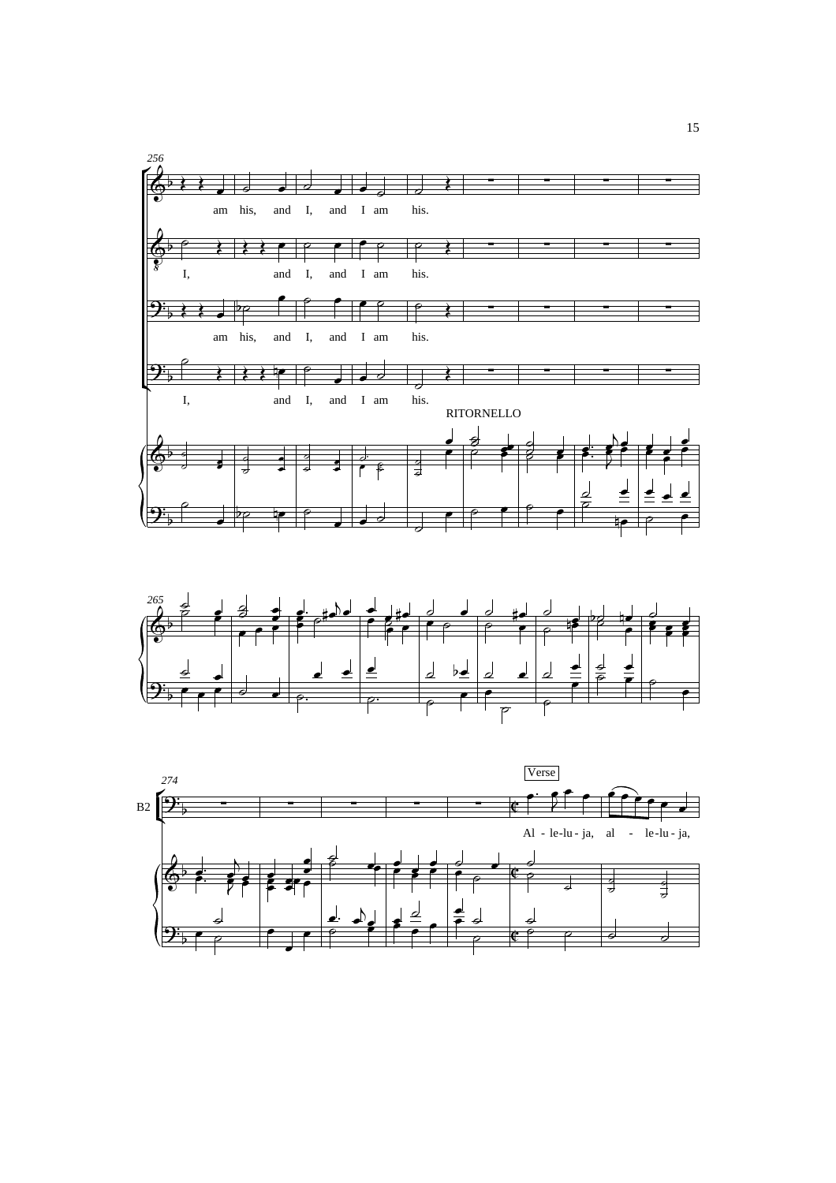



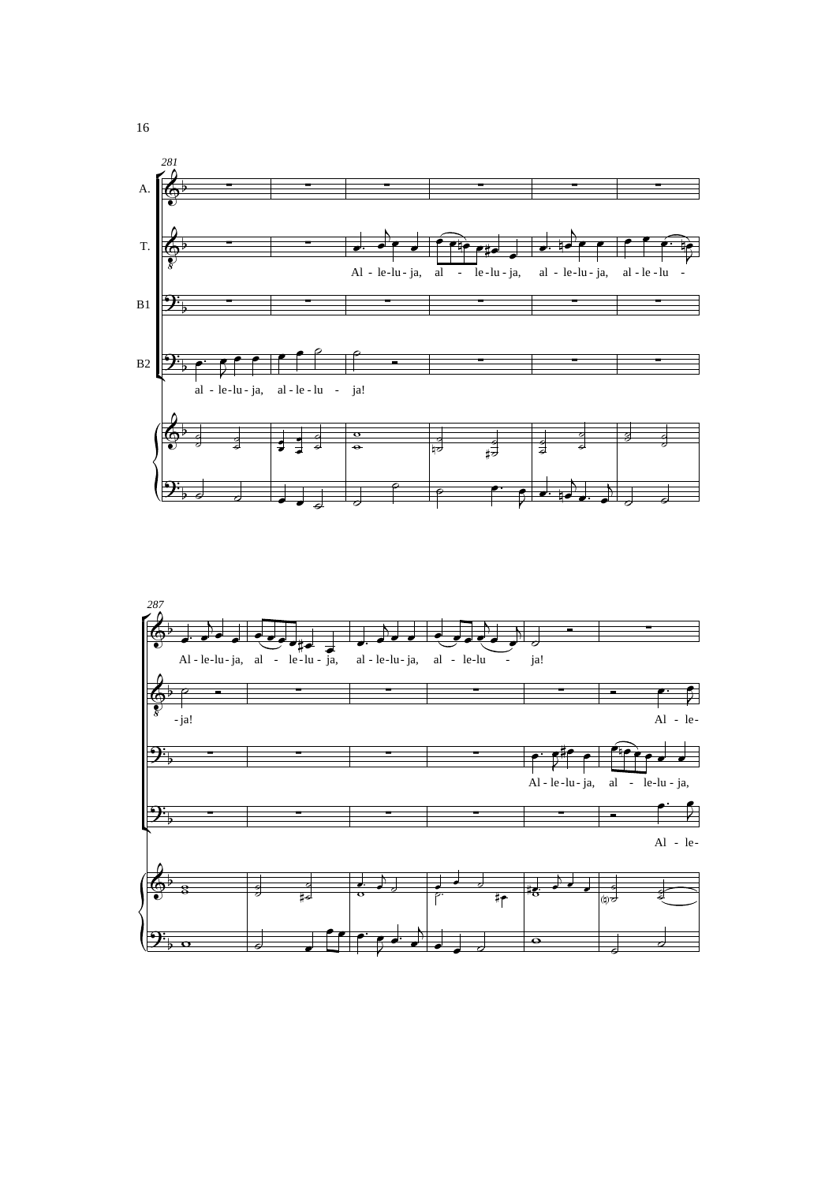

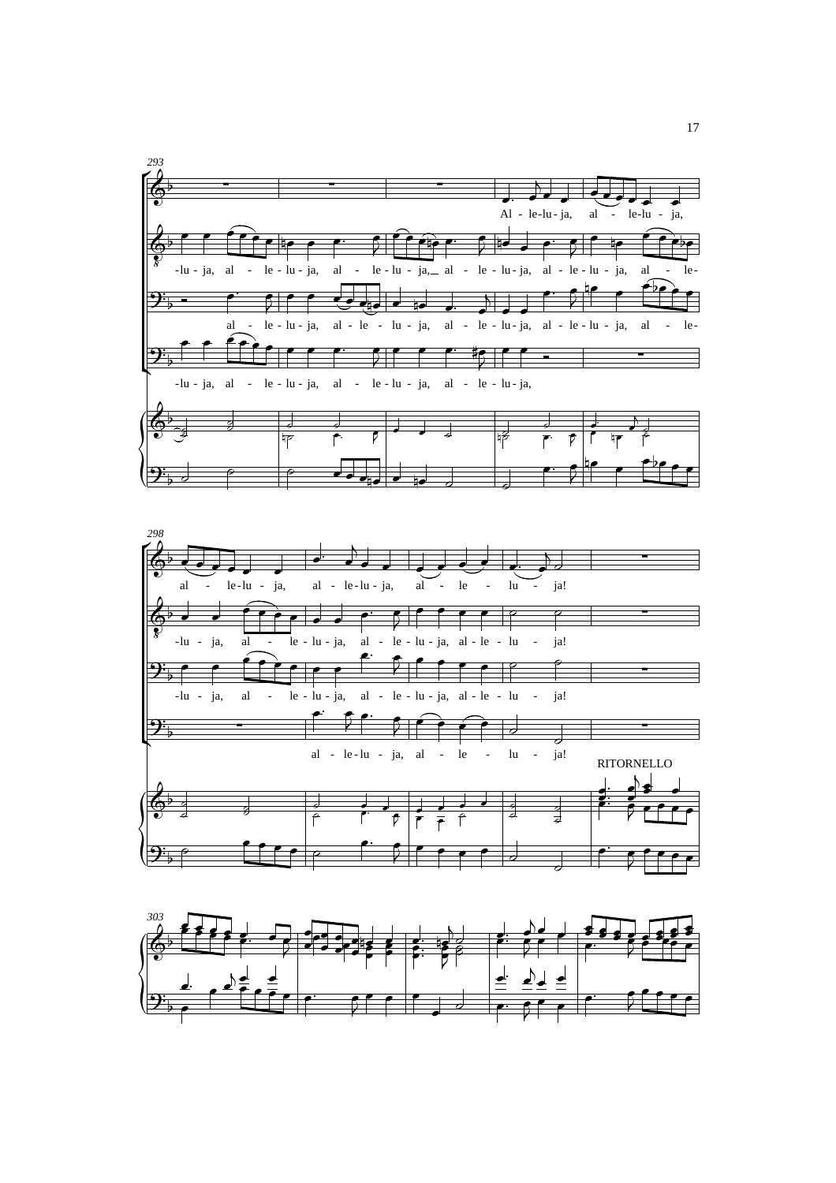



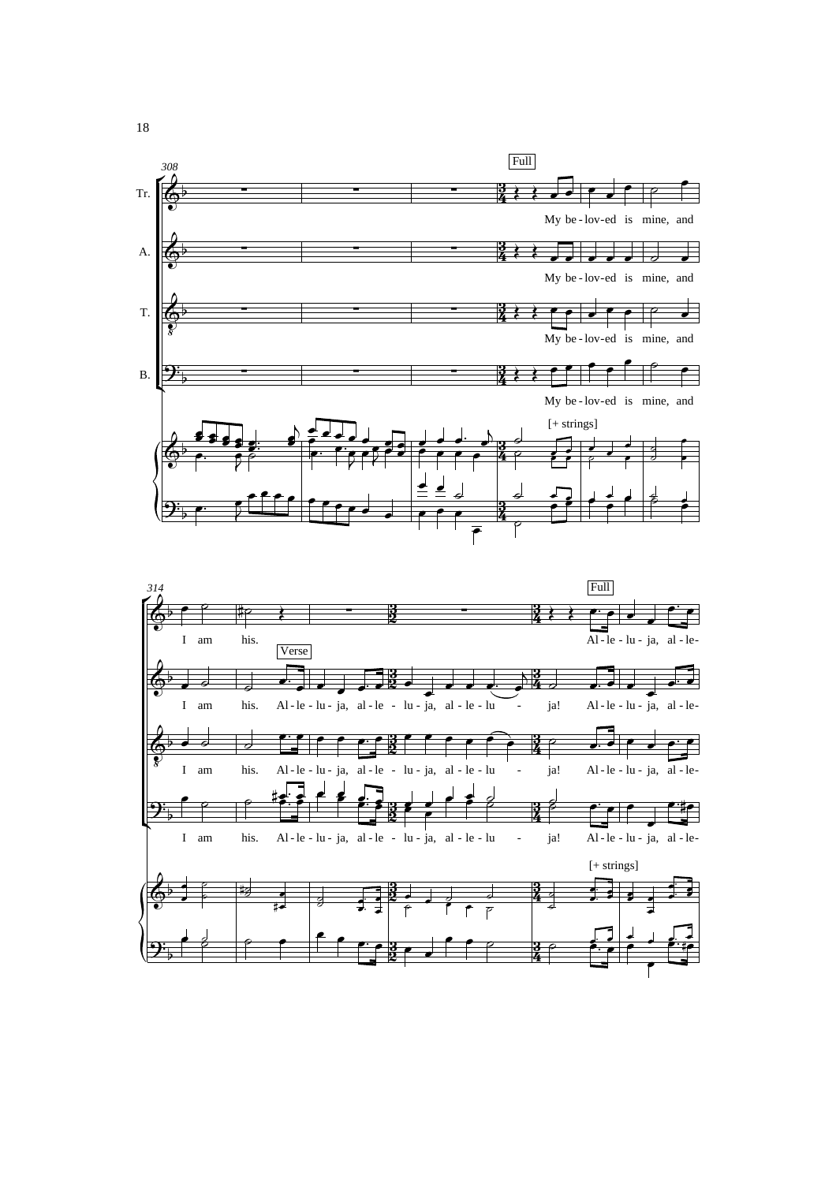